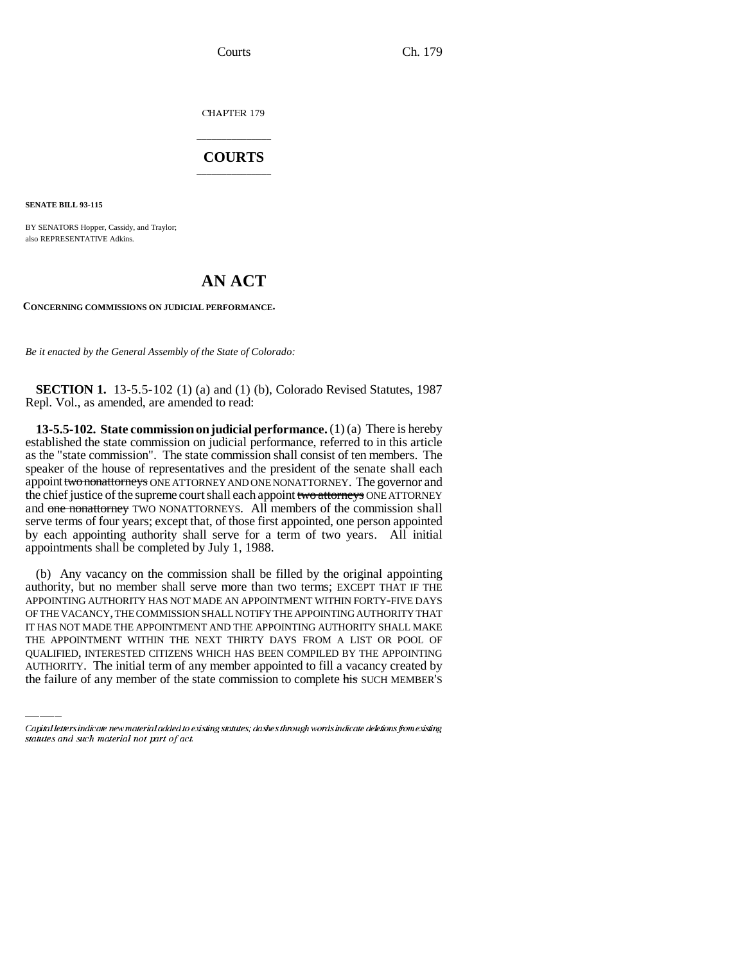CHAPTER 179

## \_\_\_\_\_\_\_\_\_\_\_\_\_\_\_ **COURTS** \_\_\_\_\_\_\_\_\_\_\_\_\_\_\_

**SENATE BILL 93-115**

BY SENATORS Hopper, Cassidy, and Traylor; also REPRESENTATIVE Adkins.

## **AN ACT**

**CONCERNING COMMISSIONS ON JUDICIAL PERFORMANCE.**

*Be it enacted by the General Assembly of the State of Colorado:*

**SECTION 1.** 13-5.5-102 (1) (a) and (1) (b), Colorado Revised Statutes, 1987 Repl. Vol., as amended, are amended to read:

**13-5.5-102. State commission on judicial performance.** (1) (a) There is hereby established the state commission on judicial performance, referred to in this article as the "state commission". The state commission shall consist of ten members. The speaker of the house of representatives and the president of the senate shall each appoint two nonattorneys ONE ATTORNEY AND ONE NONATTORNEY. The governor and the chief justice of the supreme court shall each appoint two attorneys ONE ATTORNEY and one nonattorney TWO NONATTORNEYS. All members of the commission shall serve terms of four years; except that, of those first appointed, one person appointed by each appointing authority shall serve for a term of two years. All initial appointments shall be completed by July 1, 1988.

IT HAS NOT MADE THE APPOINTMENT AND THE APPOINTING AUTHORITY SHALL MAKE (b) Any vacancy on the commission shall be filled by the original appointing authority, but no member shall serve more than two terms; EXCEPT THAT IF THE APPOINTING AUTHORITY HAS NOT MADE AN APPOINTMENT WITHIN FORTY-FIVE DAYS OF THE VACANCY, THE COMMISSION SHALL NOTIFY THE APPOINTING AUTHORITY THAT THE APPOINTMENT WITHIN THE NEXT THIRTY DAYS FROM A LIST OR POOL OF QUALIFIED, INTERESTED CITIZENS WHICH HAS BEEN COMPILED BY THE APPOINTING AUTHORITY. The initial term of any member appointed to fill a vacancy created by the failure of any member of the state commission to complete his SUCH MEMBER'S

Capital letters indicate new material added to existing statutes; dashes through words indicate deletions from existing statutes and such material not part of act.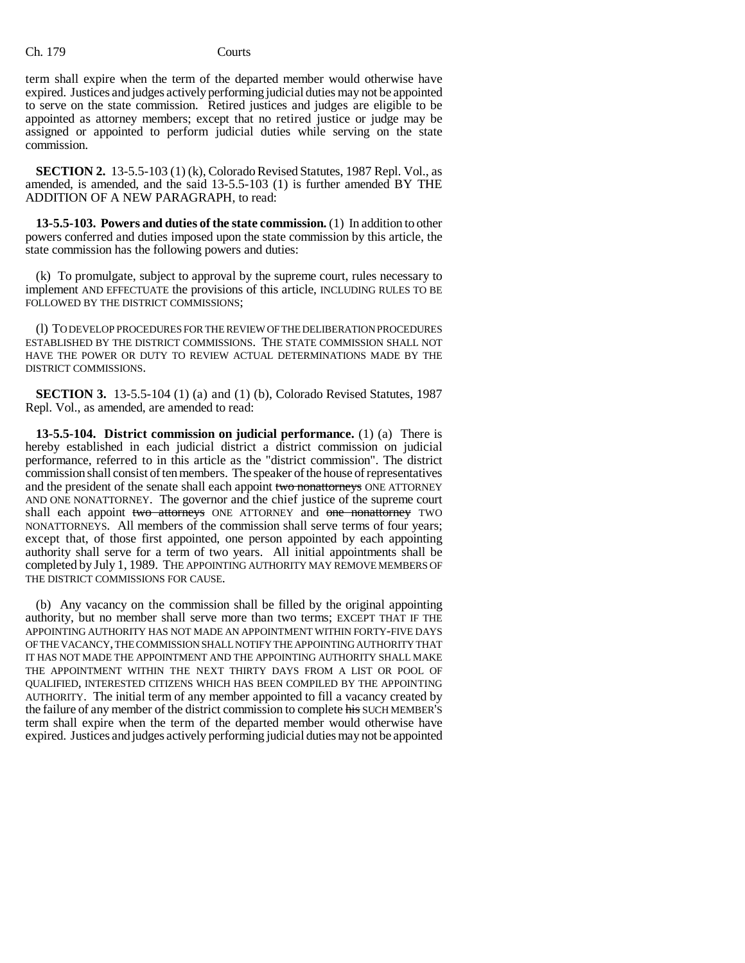term shall expire when the term of the departed member would otherwise have expired. Justices and judges actively performing judicial duties may not be appointed to serve on the state commission. Retired justices and judges are eligible to be appointed as attorney members; except that no retired justice or judge may be assigned or appointed to perform judicial duties while serving on the state commission.

**SECTION 2.** 13-5.5-103 (1) (k), Colorado Revised Statutes, 1987 Repl. Vol., as amended, is amended, and the said 13-5.5-103 (1) is further amended BY THE ADDITION OF A NEW PARAGRAPH, to read:

**13-5.5-103. Powers and duties of the state commission.** (1) In addition to other powers conferred and duties imposed upon the state commission by this article, the state commission has the following powers and duties:

(k) To promulgate, subject to approval by the supreme court, rules necessary to implement AND EFFECTUATE the provisions of this article, INCLUDING RULES TO BE FOLLOWED BY THE DISTRICT COMMISSIONS;

(l) TO DEVELOP PROCEDURES FOR THE REVIEW OF THE DELIBERATION PROCEDURES ESTABLISHED BY THE DISTRICT COMMISSIONS. THE STATE COMMISSION SHALL NOT HAVE THE POWER OR DUTY TO REVIEW ACTUAL DETERMINATIONS MADE BY THE DISTRICT COMMISSIONS.

**SECTION 3.** 13-5.5-104 (1) (a) and (1) (b), Colorado Revised Statutes, 1987 Repl. Vol., as amended, are amended to read:

**13-5.5-104. District commission on judicial performance.** (1) (a) There is hereby established in each judicial district a district commission on judicial performance, referred to in this article as the "district commission". The district commission shall consist of ten members. The speaker of the house of representatives and the president of the senate shall each appoint two nonattorneys ONE ATTORNEY AND ONE NONATTORNEY. The governor and the chief justice of the supreme court shall each appoint two attorneys ONE ATTORNEY and one nonattorney TWO NONATTORNEYS. All members of the commission shall serve terms of four years; except that, of those first appointed, one person appointed by each appointing authority shall serve for a term of two years. All initial appointments shall be completed by July 1, 1989. THE APPOINTING AUTHORITY MAY REMOVE MEMBERS OF THE DISTRICT COMMISSIONS FOR CAUSE.

(b) Any vacancy on the commission shall be filled by the original appointing authority, but no member shall serve more than two terms; EXCEPT THAT IF THE APPOINTING AUTHORITY HAS NOT MADE AN APPOINTMENT WITHIN FORTY-FIVE DAYS OF THE VACANCY, THE COMMISSION SHALL NOTIFY THE APPOINTING AUTHORITY THAT IT HAS NOT MADE THE APPOINTMENT AND THE APPOINTING AUTHORITY SHALL MAKE THE APPOINTMENT WITHIN THE NEXT THIRTY DAYS FROM A LIST OR POOL OF QUALIFIED, INTERESTED CITIZENS WHICH HAS BEEN COMPILED BY THE APPOINTING AUTHORITY. The initial term of any member appointed to fill a vacancy created by the failure of any member of the district commission to complete his SUCH MEMBER'S term shall expire when the term of the departed member would otherwise have expired. Justices and judges actively performing judicial duties may not be appointed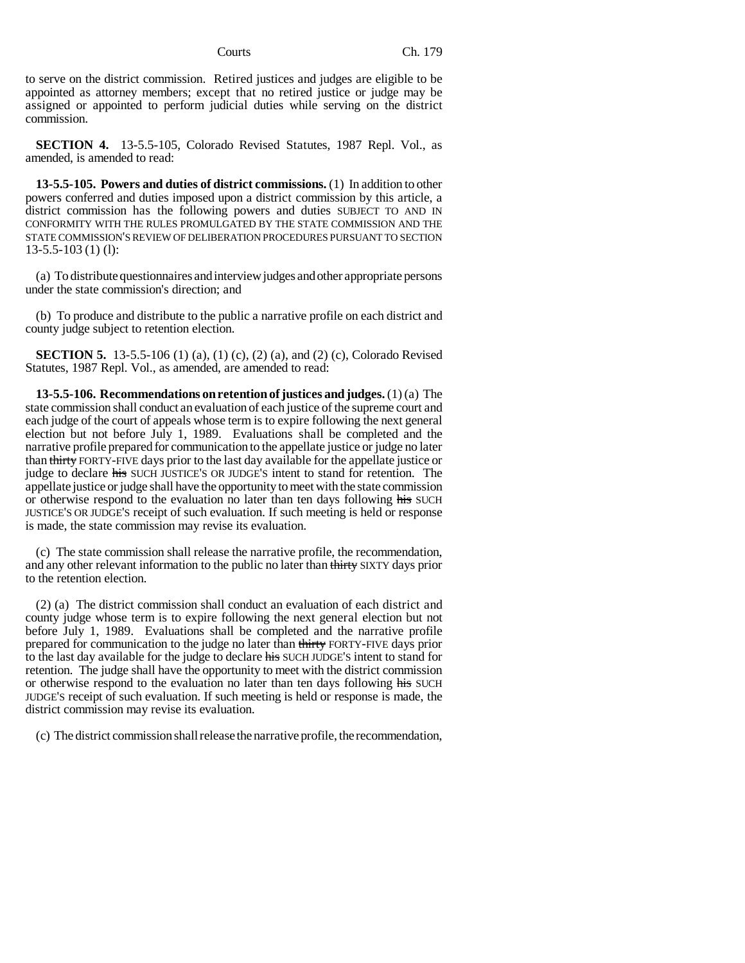to serve on the district commission. Retired justices and judges are eligible to be appointed as attorney members; except that no retired justice or judge may be assigned or appointed to perform judicial duties while serving on the district commission.

**SECTION 4.** 13-5.5-105, Colorado Revised Statutes, 1987 Repl. Vol., as amended, is amended to read:

**13-5.5-105. Powers and duties of district commissions.** (1) In addition to other powers conferred and duties imposed upon a district commission by this article, a district commission has the following powers and duties SUBJECT TO AND IN CONFORMITY WITH THE RULES PROMULGATED BY THE STATE COMMISSION AND THE STATE COMMISSION'S REVIEW OF DELIBERATION PROCEDURES PURSUANT TO SECTION 13-5.5-103 (1) (l):

(a) To distribute questionnaires and interview judges and other appropriate persons under the state commission's direction; and

(b) To produce and distribute to the public a narrative profile on each district and county judge subject to retention election.

**SECTION 5.** 13-5.5-106 (1) (a), (1) (c), (2) (a), and (2) (c), Colorado Revised Statutes, 1987 Repl. Vol., as amended, are amended to read:

**13-5.5-106. Recommendations on retention of justices and judges.** (1) (a) The state commission shall conduct an evaluation of each justice of the supreme court and each judge of the court of appeals whose term is to expire following the next general election but not before July 1, 1989. Evaluations shall be completed and the narrative profile prepared for communication to the appellate justice or judge no later than thirty FORTY-FIVE days prior to the last day available for the appellate justice or judge to declare his SUCH JUSTICE'S OR JUDGE'S intent to stand for retention. The appellate justice or judge shall have the opportunity to meet with the state commission or otherwise respond to the evaluation no later than ten days following his SUCH JUSTICE'S OR JUDGE'S receipt of such evaluation. If such meeting is held or response is made, the state commission may revise its evaluation.

(c) The state commission shall release the narrative profile, the recommendation, and any other relevant information to the public no later than thirty SIXTY days prior to the retention election.

(2) (a) The district commission shall conduct an evaluation of each district and county judge whose term is to expire following the next general election but not before July 1, 1989. Evaluations shall be completed and the narrative profile prepared for communication to the judge no later than thirty FORTY-FIVE days prior to the last day available for the judge to declare his SUCH JUDGE'S intent to stand for retention. The judge shall have the opportunity to meet with the district commission or otherwise respond to the evaluation no later than ten days following his SUCH JUDGE'S receipt of such evaluation. If such meeting is held or response is made, the district commission may revise its evaluation.

(c) The district commission shall release the narrative profile, the recommendation,